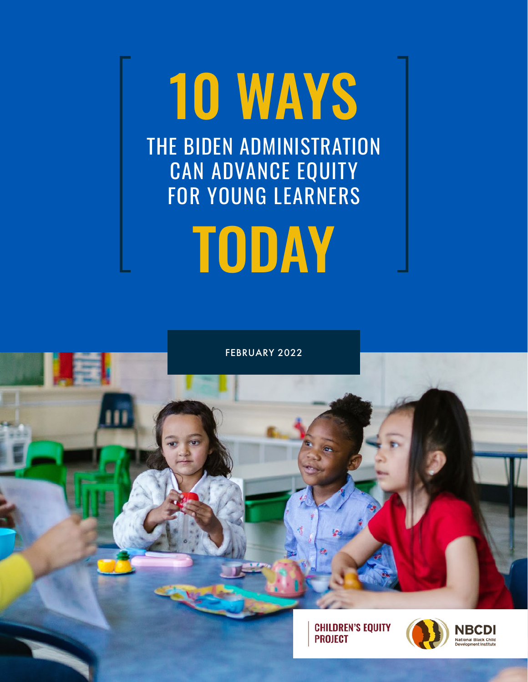# 10 WAYS THE BIDEN ADMINISTRATION CAN ADVANCE EQUITY FOR YOUNG LEARNERS

TODAY

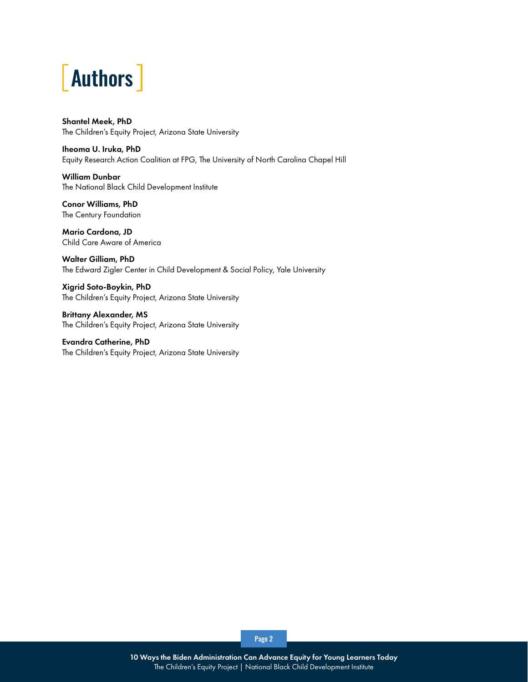

Shantel Meek, PhD The Children's Equity Project, Arizona State University

Iheoma U. Iruka, PhD Equity Research Action Coalition at FPG, The University of North Carolina Chapel Hill

William Dunbar The National Black Child Development Institute

Conor Williams, PhD The Century Foundation

Mario Cardona, JD Child Care Aware of America

Walter Gilliam, PhD The Edward Zigler Center in Child Development & Social Policy, Yale University

Xigrid Soto-Boykin, PhD The Children's Equity Project, Arizona State University

Brittany Alexander, MS The Children's Equity Project, Arizona State University

Evandra Catherine, PhD The Children's Equity Project, Arizona State University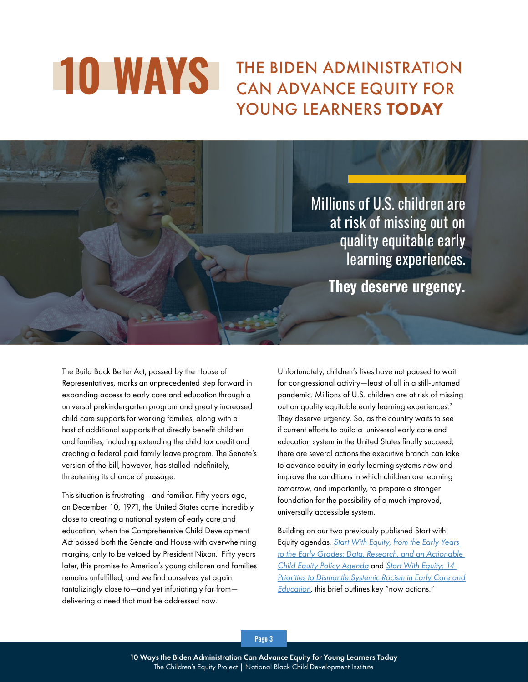## **10 WAYS** THE BIDEN ADMINISTRATION YOUNG LEARNERS TODAY

Millions of U.S. children are at risk of missing out on quality equitable early learning experiences. **They deserve urgency.** 

> The Build Back Better Act, passed by the House of Representatives, marks an unprecedented step forward in expanding access to early care and education through a universal prekindergarten program and greatly increased child care supports for working families, along with a host of additional supports that directly benefit children and families, including extending the child tax credit and creating a federal paid family leave program. The Senate's version of the bill, however, has stalled indefinitely, threatening its chance of passage.

> This situation is frustrating—and familiar. Fifty years ago, on December 10, 1971, the United States came incredibly close to creating a national system of early care and education, when the Comprehensive Child Development Act passed both the Senate and House with overwhelming margins, only to be vetoed by President Nixon.<sup>1</sup> Fifty years later, this promise to America's young children and families remains unfulfilled, and we find ourselves yet again tantalizingly close to—and yet infuriatingly far from delivering a need that must be addressed now.

Unfortunately, children's lives have not paused to wait for congressional activity—least of all in a still-untamed pandemic. Millions of U.S. children are at risk of missing out on quality equitable early learning experiences.<sup>2</sup> They deserve urgency. So, as the country waits to see if current efforts to build a universal early care and education system in the United States finally succeed, there are several actions the executive branch can take to advance equity in early learning systems *now* and improve the conditions in which children are learning *tomorrow*, and importantly, to prepare a stronger foundation for the possibility of a much improved, universally accessible system.

Building on our two previously published Start with Equity agendas, *[Start With Equity, from the Early Years](https://childandfamilysuccess.asu.edu/sites/default/files/2020-10/CEP-report-101320-FINAL_0.pdf)  [to the Early Grades: Data, Research, and an Actionable](https://childandfamilysuccess.asu.edu/sites/default/files/2020-10/CEP-report-101320-FINAL_0.pdf)  [Child Equity Policy Agenda](https://childandfamilysuccess.asu.edu/sites/default/files/2020-10/CEP-report-101320-FINAL_0.pdf)* and *[Start With Equity: 14](https://childandfamilysuccess.asu.edu/sites/default/files/2021-03/14-policies-equity-031521.pdf)  [Priorities to Dismantle Systemic Racism in Early Care and](https://childandfamilysuccess.asu.edu/sites/default/files/2021-03/14-policies-equity-031521.pdf)  [Education](https://childandfamilysuccess.asu.edu/sites/default/files/2021-03/14-policies-equity-031521.pdf)*, this brief outlines key "now actions."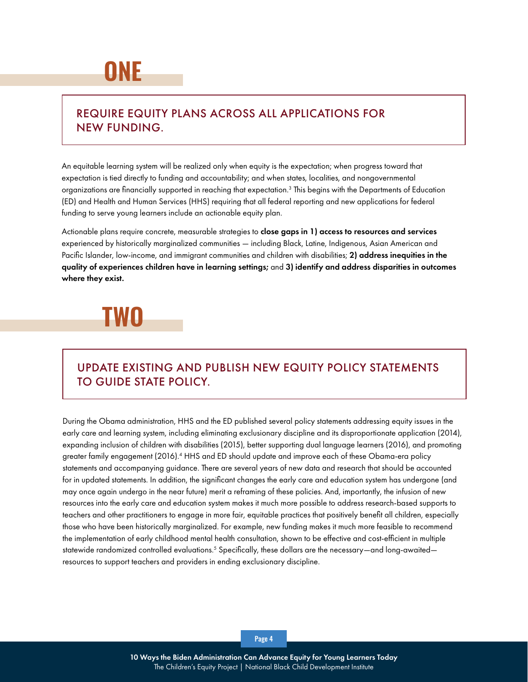### **ONE**

### REQUIRE EQUITY PLANS ACROSS ALL APPLICATIONS FOR NEW FUNDING.

An equitable learning system will be realized only when equity is the expectation; when progress toward that expectation is tied directly to funding and accountability; and when states, localities, and nongovernmental organizations are financially supported in reaching that expectation.<sup>3</sup> This begins with the Departments of Education (ED) and Health and Human Services (HHS) requiring that all federal reporting and new applications for federal funding to serve young learners include an actionable equity plan.

Actionable plans require concrete, measurable strategies to close gaps in 1) access to resources and services experienced by historically marginalized communities — including Black, Latine, Indigenous, Asian American and Pacific Islander, low-income, and immigrant communities and children with disabilities; 2) address inequities in the quality of experiences children have in learning settings; and 3) identify and address disparities in outcomes where they exist.

### **TWO**

### UPDATE EXISTING AND PUBLISH NEW EQUITY POLICY STATEMENTS TO GUIDE STATE POLICY.

During the Obama administration, HHS and the ED published several policy statements addressing equity issues in the early care and learning system, including eliminating exclusionary discipline and its disproportionate application (2014), expanding inclusion of children with disabilities (2015), better supporting dual language learners (2016), and promoting greater family engagement (2016).<sup>4</sup> HHS and ED should update and improve each of these Obama-era policy statements and accompanying guidance. There are several years of new data and research that should be accounted for in updated statements. In addition, the significant changes the early care and education system has undergone (and may once again undergo in the near future) merit a reframing of these policies. And, importantly, the infusion of new resources into the early care and education system makes it much more possible to address research-based supports to teachers and other practitioners to engage in more fair, equitable practices that positively benefit all children, especially those who have been historically marginalized. For example, new funding makes it much more feasible to recommend the implementation of early childhood mental health consultation, shown to be effective and cost-efficient in multiple statewide randomized controlled evaluations. $^5$  Specifically, these dollars are the necessary—and long-awaited resources to support teachers and providers in ending exclusionary discipline.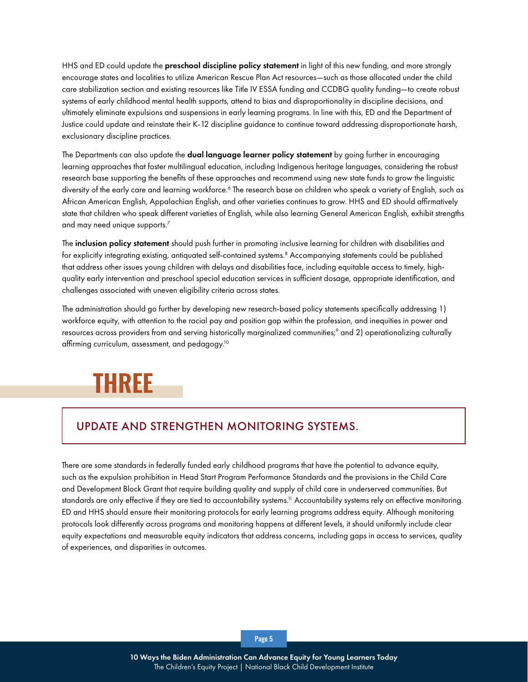HHS and ED could update the **preschool discipline policy statement** in light of this new funding, and more strongly encourage states and localities to utilize American Rescue Plan Act resources—such as those allocated under the child care stabilization section and existing resources like Title IV ESSA funding and CCDBG quality funding—to create robust systems of early childhood mental health supports, attend to bias and disproportionality in discipline decisions, and ultimately eliminate expulsions and suspensions in early learning programs. In line with this, ED and the Department of Justice could update and reinstate their K-12 discipline guidance to continue toward addressing disproportionate harsh, exclusionary discipline practices.

The Departments can also update the **dual language learner policy statement** by going further in encouraging learning approaches that foster multilingual education, including Indigenous heritage languages, considering the robust research base supporting the benefits of these approaches and recommend using new state funds to grow the linguistic diversity of the early care and learning workforce.<sup>6</sup> The research base on children who speak a variety of English, such as African American English, Appalachian English, and other varieties continues to grow. HHS and ED should affirmatively state that children who speak different varieties of English, while also learning General American English, exhibit strengths and may need unique supports.<sup>7</sup>

The inclusion policy statement should push further in promoting inclusive learning for children with disabilities and for explicitly integrating existing, antiquated self-contained systems.<sup>8</sup> Accompanying statements could be published that address other issues young children with delays and disabilities face, including equitable access to timely, highquality early intervention and preschool special education services in sufficient dosage, appropriate identification, and challenges associated with uneven eligibility criteria across states.

The administration should go further by developing new research-based policy statements specifically addressing 1) workforce equity, with attention to the racial pay and position gap within the profession, and inequities in power and resources across providers from and serving historically marginalized communities;<sup>9</sup> and 2) operationalizing culturally affirming curriculum, assessment, and pedagogy.<sup>10</sup>

### **THREE**

### UPDATE AND STRENGTHEN MONITORING SYSTEMS.

There are some standards in federally funded early childhood programs that have the potential to advance equity, such as the expulsion prohibition in Head Start Program Performance Standards and the provisions in the Child Care and Development Block Grant that require building quality and supply of child care in underserved communities. But standards are only effective if they are tied to accountability systems.<sup>11</sup> Accountability systems rely on effective monitoring. ED and HHS should ensure their monitoring protocols for early learning programs address equity. Although monitoring protocols look differently across programs and monitoring happens at different levels, it should uniformly include clear equity expectations and measurable equity indicators that address concerns, including gaps in access to services, quality of experiences, and disparities in outcomes.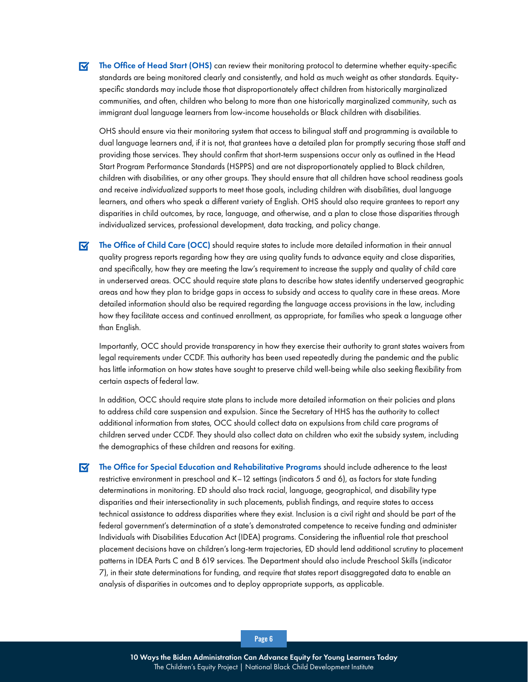The Office of Head Start (OHS) can review their monitoring protocol to determine whether equity-specific  $\overline{\mathbf{M}}$ standards are being monitored clearly and consistently, and hold as much weight as other standards. Equityspecific standards may include those that disproportionately affect children from historically marginalized communities, and often, children who belong to more than one historically marginalized community, such as immigrant dual language learners from low-income households or Black children with disabilities.

OHS should ensure via their monitoring system that access to bilingual staff and programming is available to dual language learners and, if it is not, that grantees have a detailed plan for promptly securing those staff and providing those services. They should confirm that short-term suspensions occur only as outlined in the Head Start Program Performance Standards (HSPPS) and are not disproportionately applied to Black children, children with disabilities, or any other groups. They should ensure that all children have school readiness goals and receive *individualized* supports to meet those goals, including children with disabilities, dual language learners, and others who speak a different variety of English. OHS should also require grantees to report any disparities in child outcomes, by race, language, and otherwise, and a plan to close those disparities through individualized services, professional development, data tracking, and policy change.

 $\overline{\mathbf{M}}$ The Office of Child Care (OCC) should require states to include more detailed information in their annual quality progress reports regarding how they are using quality funds to advance equity and close disparities, and specifically, how they are meeting the law's requirement to increase the supply and quality of child care in underserved areas. OCC should require state plans to describe how states identify underserved geographic areas and how they plan to bridge gaps in access to subsidy and access to quality care in these areas. More detailed information should also be required regarding the language access provisions in the law, including how they facilitate access and continued enrollment, as appropriate, for families who speak a language other than English.

Importantly, OCC should provide transparency in how they exercise their authority to grant states waivers from legal requirements under CCDF. This authority has been used repeatedly during the pandemic and the public has little information on how states have sought to preserve child well-being while also seeking flexibility from certain aspects of federal law.

In addition, OCC should require state plans to include more detailed information on their policies and plans to address child care suspension and expulsion. Since the Secretary of HHS has the authority to collect additional information from states, OCC should collect data on expulsions from child care programs of children served under CCDF. They should also collect data on children who exit the subsidy system, including the demographics of these children and reasons for exiting.

 $\blacksquare$ The Office for Special Education and Rehabilitative Programs should include adherence to the least restrictive environment in preschool and K–12 settings (indicators 5 and 6), as factors for state funding determinations in monitoring. ED should also track racial, language, geographical, and disability type disparities and their intersectionality in such placements, publish findings, and require states to access technical assistance to address disparities where they exist. Inclusion is a civil right and should be part of the federal government's determination of a state's demonstrated competence to receive funding and administer Individuals with Disabilities Education Act (IDEA) programs. Considering the influential role that preschool placement decisions have on children's long-term trajectories, ED should lend additional scrutiny to placement patterns in IDEA Parts C and B 619 services. The Department should also include Preschool Skills (indicator 7), in their state determinations for funding, and require that states report disaggregated data to enable an analysis of disparities in outcomes and to deploy appropriate supports, as applicable.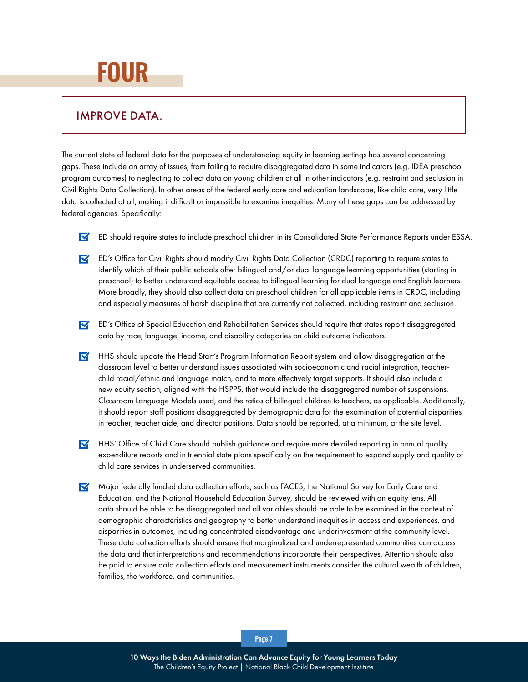### **FOUR**

#### IMPROVE DATA.

The current state of federal data for the purposes of understanding equity in learning settings has several concerning gaps. These include an array of issues, from failing to require disaggregated data in some indicators (e.g. IDEA preschool program outcomes) to neglecting to collect data on young children at all in other indicators (e.g. restraint and seclusion in Civil Rights Data Collection). In other areas of the federal early care and education landscape, like child care, very little data is collected at all, making it difficult or impossible to examine inequities. Many of these gaps can be addressed by federal agencies. Specifically:

- ED should require states to include preschool children in its Consolidated State Performance Reports under ESSA.
- ED's Office for Civil Rights should modify Civil Rights Data Collection (CRDC) reporting to require states to identify which of their public schools offer bilingual and/or dual language learning opportunities (starting in preschool) to better understand equitable access to bilingual learning for dual language and English learners. More broadly, they should also collect data on preschool children for all applicable items in CRDC, including and especially measures of harsh discipline that are currently not collected, including restraint and seclusion.
- ED's Office of Special Education and Rehabilitation Services should require that states report disaggregated data by race, language, income, and disability categories on child outcome indicators.
- $\triangledown$  HHS should update the Head Start's Program Information Report system and allow disaggregation at the classroom level to better understand issues associated with socioeconomic and racial integration, teacherchild racial/ethnic and language match, and to more effectively target supports. It should also include a new equity section, aligned with the HSPPS, that would include the disaggregated number of suspensions, Classroom Language Models used, and the ratios of bilingual children to teachers, as applicable. Additionally, it should report staff positions disaggregated by demographic data for the examination of potential disparities in teacher, teacher aide, and director positions. Data should be reported, at a minimum, at the site level.
- **HHS'** Office of Child Care should publish guidance and require more detailed reporting in annual quality expenditure reports and in triennial state plans specifically on the requirement to expand supply and quality of child care services in underserved communities.
- Major federally funded data collection efforts, such as FACES, the National Survey for Early Care and Education, and the National Household Education Survey, should be reviewed with an equity lens. All data should be able to be disaggregated and all variables should be able to be examined in the context of demographic characteristics and geography to better understand inequities in access and experiences, and disparities in outcomes, including concentrated disadvantage and underinvestment at the community level. These data collection efforts should ensure that marginalized and underrepresented communities can access the data and that interpretations and recommendations incorporate their perspectives. Attention should also be paid to ensure data collection efforts and measurement instruments consider the cultural wealth of children, families, the workforce, and communities.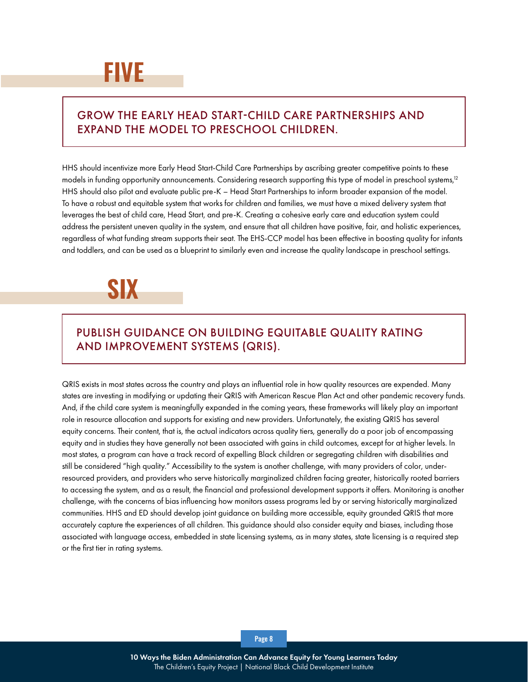#### GROW THE EARLY HEAD START-CHILD CARE PARTNERSHIPS AND EXPAND THE MODEL TO PRESCHOOL CHILDREN.

HHS should incentivize more Early Head Start-Child Care Partnerships by ascribing greater competitive points to these models in funding opportunity announcements. Considering research supporting this type of model in preschool systems,<sup>12</sup> HHS should also pilot and evaluate public pre-K – Head Start Partnerships to inform broader expansion of the model. To have a robust and equitable system that works for children and families, we must have a mixed delivery system that leverages the best of child care, Head Start, and pre-K. Creating a cohesive early care and education system could address the persistent uneven quality in the system, and ensure that all children have positive, fair, and holistic experiences, regardless of what funding stream supports their seat. The EHS-CCP model has been effective in boosting quality for infants and toddlers, and can be used as a blueprint to similarly even and increase the quality landscape in preschool settings.



### PUBLISH GUIDANCE ON BUILDING EQUITABLE QUALITY RATING AND IMPROVEMENT SYSTEMS (QRIS).

QRIS exists in most states across the country and plays an influential role in how quality resources are expended. Many states are investing in modifying or updating their QRIS with American Rescue Plan Act and other pandemic recovery funds. And, if the child care system is meaningfully expanded in the coming years, these frameworks will likely play an important role in resource allocation and supports for existing and new providers. Unfortunately, the existing QRIS has several equity concerns. Their content, that is, the actual indicators across quality tiers, generally do a poor job of encompassing equity and in studies they have generally not been associated with gains in child outcomes, except for at higher levels. In most states, a program can have a track record of expelling Black children or segregating children with disabilities and still be considered "high quality." Accessibility to the system is another challenge, with many providers of color, underresourced providers, and providers who serve historically marginalized children facing greater, historically rooted barriers to accessing the system, and as a result, the financial and professional development supports it offers. Monitoring is another challenge, with the concerns of bias influencing how monitors assess programs led by or serving historically marginalized communities. HHS and ED should develop joint guidance on building more accessible, equity grounded QRIS that more accurately capture the experiences of all children. This guidance should also consider equity and biases, including those associated with language access, embedded in state licensing systems, as in many states, state licensing is a required step or the first tier in rating systems.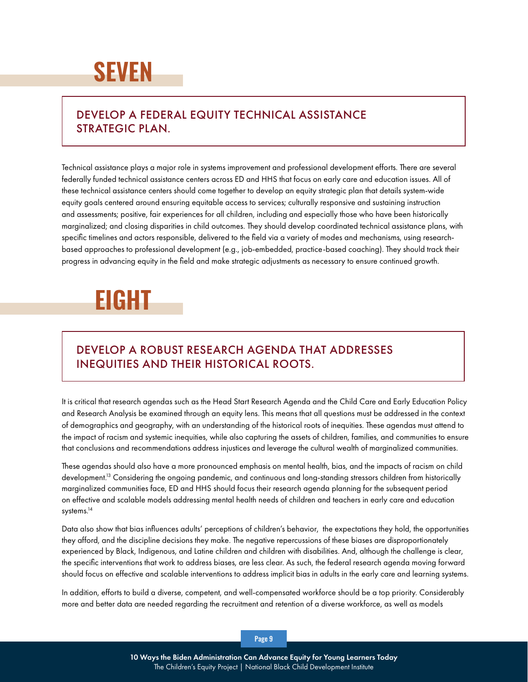## **SEVEN**

### DEVELOP A FEDERAL EQUITY TECHNICAL ASSISTANCE STRATEGIC PLAN.

Technical assistance plays a major role in systems improvement and professional development efforts. There are several federally funded technical assistance centers across ED and HHS that focus on early care and education issues. All of these technical assistance centers should come together to develop an equity strategic plan that details system-wide equity goals centered around ensuring equitable access to services; culturally responsive and sustaining instruction and assessments; positive, fair experiences for all children, including and especially those who have been historically marginalized; and closing disparities in child outcomes. They should develop coordinated technical assistance plans, with specific timelines and actors responsible, delivered to the field via a variety of modes and mechanisms, using researchbased approaches to professional development (e.g., job-embedded, practice-based coaching). They should track their progress in advancing equity in the field and make strategic adjustments as necessary to ensure continued growth.

### **EIGHT**

### DEVELOP A ROBUST RESEARCH AGENDA THAT ADDRESSES INEQUITIES AND THEIR HISTORICAL ROOTS.

It is critical that research agendas such as the Head Start Research Agenda and the Child Care and Early Education Policy and Research Analysis be examined through an equity lens. This means that all questions must be addressed in the context of demographics and geography, with an understanding of the historical roots of inequities. These agendas must attend to the impact of racism and systemic inequities, while also capturing the assets of children, families, and communities to ensure that conclusions and recommendations address injustices and leverage the cultural wealth of marginalized communities.

These agendas should also have a more pronounced emphasis on mental health, bias, and the impacts of racism on child development.<sup>13</sup> Considering the ongoing pandemic, and continuous and long-standing stressors children from historically marginalized communities face, ED and HHS should focus their research agenda planning for the subsequent period on effective and scalable models addressing mental health needs of children and teachers in early care and education systems.<sup>14</sup>

Data also show that bias influences adults' perceptions of children's behavior, the expectations they hold, the opportunities they afford, and the discipline decisions they make. The negative repercussions of these biases are disproportionately experienced by Black, Indigenous, and Latine children and children with disabilities. And, although the challenge is clear, the specific interventions that work to address biases, are less clear. As such, the federal research agenda moving forward should focus on effective and scalable interventions to address implicit bias in adults in the early care and learning systems.

In addition, efforts to build a diverse, competent, and well-compensated workforce should be a top priority. Considerably more and better data are needed regarding the recruitment and retention of a diverse workforce, as well as models

#### Page 9

10 Ways the Biden Administration Can Advance Equity for Young Learners Today The Children's Equity Project | National Black Child Development Institute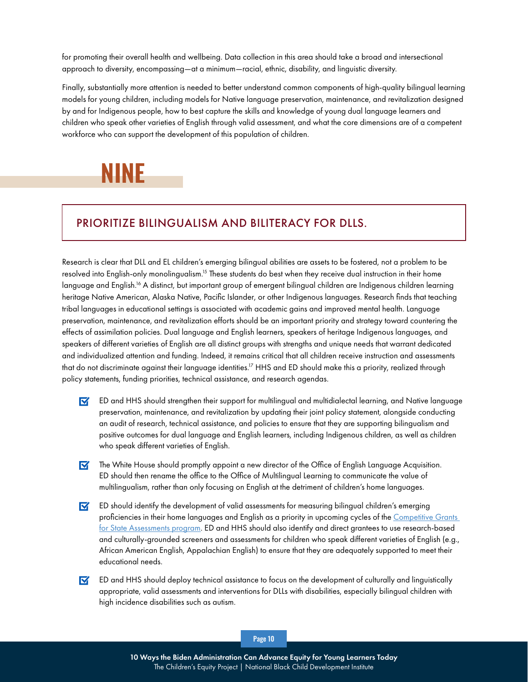for promoting their overall health and wellbeing. Data collection in this area should take a broad and intersectional approach to diversity, encompassing—at a minimum—racial, ethnic, disability, and linguistic diversity.

Finally, substantially more attention is needed to better understand common components of high-quality bilingual learning models for young children, including models for Native language preservation, maintenance, and revitalization designed by and for Indigenous people, how to best capture the skills and knowledge of young dual language learners and children who speak other varieties of English through valid assessment, and what the core dimensions are of a competent workforce who can support the development of this population of children.



### PRIORITIZE BILINGUALISM AND BILITERACY FOR DLLS.

Research is clear that DLL and EL children's emerging bilingual abilities are assets to be fostered, not a problem to be resolved into English-only monolingualism.<sup>15</sup> These students do best when they receive dual instruction in their home language and English.16 A distinct, but important group of emergent bilingual children are Indigenous children learning heritage Native American, Alaska Native, Pacific Islander, or other Indigenous languages. Research finds that teaching tribal languages in educational settings is associated with academic gains and improved mental health. Language preservation, maintenance, and revitalization efforts should be an important priority and strategy toward countering the effects of assimilation policies. Dual language and English learners, speakers of heritage Indigenous languages, and speakers of different varieties of English are all distinct groups with strengths and unique needs that warrant dedicated and individualized attention and funding. Indeed, it remains critical that all children receive instruction and assessments that do not discriminate against their language identities.<sup>17</sup> HHS and ED should make this a priority, realized through policy statements, funding priorities, technical assistance, and research agendas.

- $\nabla$  ED and HHS should strengthen their support for multilingual and multidialectal learning, and Native language preservation, maintenance, and revitalization by updating their joint policy statement, alongside conducting an audit of research, technical assistance, and policies to ensure that they are supporting bilingualism and positive outcomes for dual language and English learners, including Indigenous children, as well as children who speak different varieties of English.
- $\triangledown$  The White House should promptly appoint a new director of the Office of English Language Acquisition. ED should then rename the office to the Office of Multilingual Learning to communicate the value of multilingualism, rather than only focusing on English at the detriment of children's home languages.
- $\blacksquare$ ED should identify the development of valid assessments for measuring bilingual children's emerging proficiencies in their home languages and English as a priority in upcoming cycles of the [Competitive Grants](https://oese.ed.gov/offices/office-of-formula-grants/school-support-and-accountability/competitive-grants-for-state-assessments/)  [for State Assessments program.](https://oese.ed.gov/offices/office-of-formula-grants/school-support-and-accountability/competitive-grants-for-state-assessments/) ED and HHS should also identify and direct grantees to use research-based and culturally-grounded screeners and assessments for children who speak different varieties of English (e.g., African American English, Appalachian English) to ensure that they are adequately supported to meet their educational needs.
- $\overline{\mathbf{M}}$ ED and HHS should deploy technical assistance to focus on the development of culturally and linguistically appropriate, valid assessments and interventions for DLLs with disabilities, especially bilingual children with high incidence disabilities such as autism.

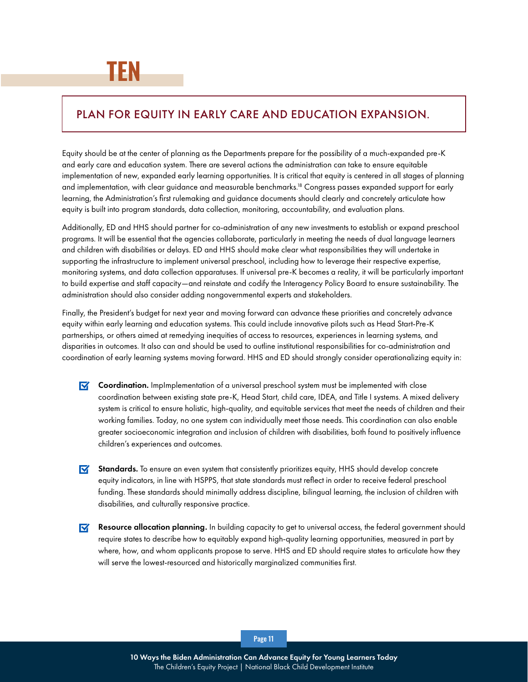#### PLAN FOR EQUITY IN EARLY CARE AND EDUCATION EXPANSION.

Equity should be at the center of planning as the Departments prepare for the possibility of a much-expanded pre-K and early care and education system. There are several actions the administration can take to ensure equitable implementation of new, expanded early learning opportunities. It is critical that equity is centered in all stages of planning and implementation, with clear guidance and measurable benchmarks.<sup>18</sup> Congress passes expanded support for early learning, the Administration's first rulemaking and guidance documents should clearly and concretely articulate how equity is built into program standards, data collection, monitoring, accountability, and evaluation plans.

Additionally, ED and HHS should partner for co-administration of any new investments to establish or expand preschool programs. It will be essential that the agencies collaborate, particularly in meeting the needs of dual language learners and children with disabilities or delays. ED and HHS should make clear what responsibilities they will undertake in supporting the infrastructure to implement universal preschool, including how to leverage their respective expertise, monitoring systems, and data collection apparatuses. If universal pre-K becomes a reality, it will be particularly important to build expertise and staff capacity—and reinstate and codify the Interagency Policy Board to ensure sustainability. The administration should also consider adding nongovernmental experts and stakeholders.

Finally, the President's budget for next year and moving forward can advance these priorities and concretely advance equity within early learning and education systems. This could include innovative pilots such as Head Start-Pre-K partnerships, or others aimed at remedying inequities of access to resources, experiences in learning systems, and disparities in outcomes. It also can and should be used to outline institutional responsibilities for co-administration and coordination of early learning systems moving forward. HHS and ED should strongly consider operationalizing equity in:

- $\triangledown$  **Coordination.** ImpImplementation of a universal preschool system must be implemented with close coordination between existing state pre-K, Head Start, child care, IDEA, and Title I systems. A mixed delivery system is critical to ensure holistic, high-quality, and equitable services that meet the needs of children and their working families. Today, no one system can individually meet those needs. This coordination can also enable greater socioeconomic integration and inclusion of children with disabilities, both found to positively influence children's experiences and outcomes.
- Standards. To ensure an even system that consistently prioritizes equity, HHS should develop concrete equity indicators, in line with HSPPS, that state standards must reflect in order to receive federal preschool funding. These standards should minimally address discipline, bilingual learning, the inclusion of children with disabilities, and culturally responsive practice.
- $\nabla$  Resource allocation planning. In building capacity to get to universal access, the federal government should require states to describe how to equitably expand high-quality learning opportunities, measured in part by where, how, and whom applicants propose to serve. HHS and ED should require states to articulate how they will serve the lowest-resourced and historically marginalized communities first.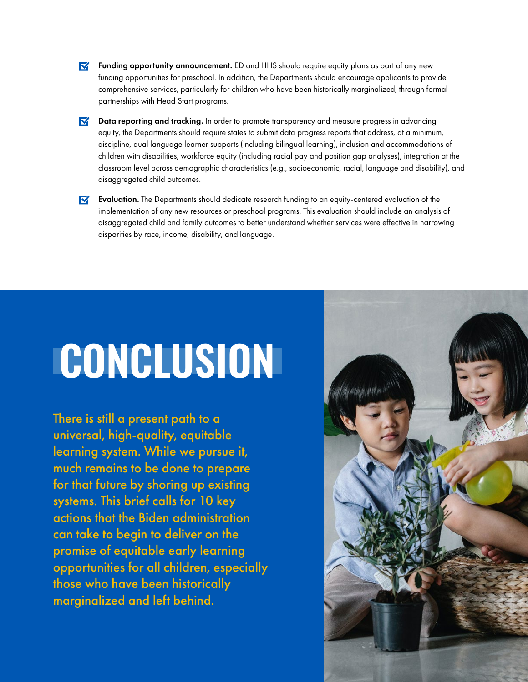- $\triangledown$  **Funding opportunity announcement.** ED and HHS should require equity plans as part of any new funding opportunities for preschool. In addition, the Departments should encourage applicants to provide comprehensive services, particularly for children who have been historically marginalized, through formal partnerships with Head Start programs.
- $\triangledown$  Data reporting and tracking. In order to promote transparency and measure progress in advancing equity, the Departments should require states to submit data progress reports that address, at a minimum, discipline, dual language learner supports (including bilingual learning), inclusion and accommodations of children with disabilities, workforce equity (including racial pay and position gap analyses), integration at the classroom level across demographic characteristics (e.g., socioeconomic, racial, language and disability), and disaggregated child outcomes.
- $\triangledown$  Evaluation. The Departments should dedicate research funding to an equity-centered evaluation of the implementation of any new resources or preschool programs. This evaluation should include an analysis of disaggregated child and family outcomes to better understand whether services were effective in narrowing disparities by race, income, disability, and language.

# **CONCLUSION**

There is still a present path to a universal, high-quality, equitable learning system. While we pursue it, much remains to be done to prepare for that future by shoring up existing systems. This brief calls for 10 key actions that the Biden administration can take to begin to deliver on the promise of equitable early learning opportunities for all children, especially those who have been historically marginalized and left behind.

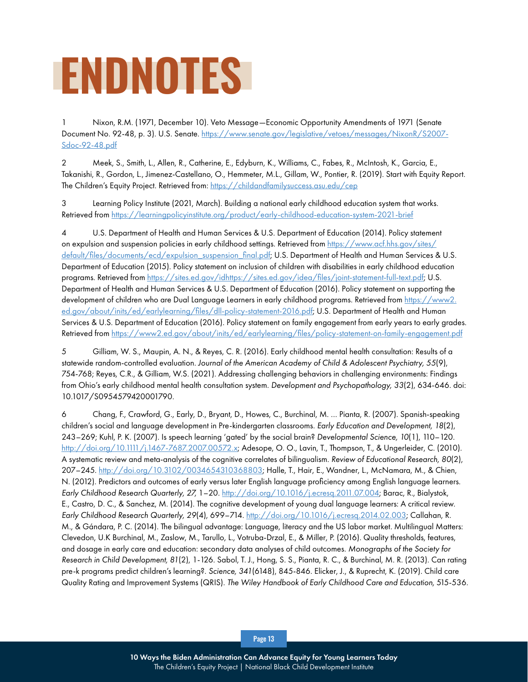# **ENDNOTES**

1 Nixon, R.M. (1971, December 10). Veto Message—Economic Opportunity Amendments of 1971 (Senate Document No. 92-48, p. 3). U.S. Senate. [https://www.senate.gov/legislative/vetoes/messages/NixonR/S2007-](https://www.senate.gov/legislative/vetoes/messages/NixonR/S2007-Sdoc-92-48.pdf) [Sdoc-92-48.pdf](https://www.senate.gov/legislative/vetoes/messages/NixonR/S2007-Sdoc-92-48.pdf)

2 Meek, S., Smith, L., Allen, R., Catherine, E., Edyburn, K., Williams, C., Fabes, R., McIntosh, K., Garcia, E., Takanishi, R., Gordon, L., Jimenez-Castellano, O., Hemmeter, M.L., Gillam, W., Pontier, R. (2019). Start with Equity Report. The Children's Equity Project. Retrieved from:<https://childandfamilysuccess.asu.edu/cep>

3 Learning Policy Institute (2021, March). Building a national early childhood education system that works. Retrieved from<https://learningpolicyinstitute.org/product/early-childhood-education-system-2021-brief>

4 U.S. Department of Health and Human Services & U.S. Department of Education (2014). Policy statement on expulsion and suspension policies in early childhood settings. Retrieved from [https://www.acf.hhs.gov/sites/](https://www.acf.hhs.gov/sites/default/files/documents/ecd/expulsion_suspension_final.pdf) [default/files/documents/ecd/expulsion\\_suspension\\_final.pdf;](https://www.acf.hhs.gov/sites/default/files/documents/ecd/expulsion_suspension_final.pdf) U.S. Department of Health and Human Services & U.S. Department of Education (2015). Policy statement on inclusion of children with disabilities in early childhood education programs. Retrieved from [https://sites.ed.gov/idhttps://sites.ed.gov/idea/files/joint-statement-full-text.pdf;](https://sites.ed.gov/idhttps://sites.ed.gov/idea/files/joint-statement-full-text.pdf) U.S. Department of Health and Human Services & U.S. Department of Education (2016). Policy statement on supporting the development of children who are Dual Language Learners in early childhood programs. Retrieved from [https://www2.](https://www2.ed.gov/about/inits/ed/earlylearning/files/dll-policy-statement-2016.pdf) [ed.gov/about/inits/ed/earlylearning/files/dll-policy-statement-2016.pdf;](https://www2.ed.gov/about/inits/ed/earlylearning/files/dll-policy-statement-2016.pdf) U.S. Department of Health and Human Services & U.S. Department of Education (2016). Policy statement on family engagement from early years to early grades. Retrieved from<https://www2.ed.gov/about/inits/ed/earlylearning/files/policy-statement-on-family-engagement.pdf>

5 Gilliam, W. S., Maupin, A. N., & Reyes, C. R. (2016). Early childhood mental health consultation: Results of a statewide random-controlled evaluation. *Journal of the American Academy of Child & Adolescent Psychiatry, 55*(9), 754-768; Reyes, C.R., & Gilliam, W.S. (2021). Addressing challenging behaviors in challenging environments: Findings from Ohio's early childhood mental health consultation system. *Development and Psychopathology, 33*(2), 634-646. doi: 10.1017/S0954579420001790.

6 Chang, F., Crawford, G., Early, D., Bryant, D., Howes, C., Burchinal, M. … Pianta, R. (2007). Spanish-speaking children's social and language development in Pre-kindergarten classrooms. *Early Education and Development, 18*(2), 243–269; Kuhl, P. K. (2007). Is speech learning 'gated' by the social brain? *Developmental Science, 10*(1), 110–120. [http://doi.org/10.1111/j.1467-7687.2007.00572.x;](http://doi.org/10.1111/j.1467-7687.2007.00572.x) Adesope, O. O., Lavin, T., Thompson, T., & Ungerleider, C. (2010). A systematic review and meta-analysis of the cognitive correlates of bilingualism. *Review of Educational Research, 80*(2), 207–245. [http://doi.org/10.3102/0034654310368803;](http://doi.org/10.3102/0034654310368803) Halle, T., Hair, E., Wandner, L., McNamara, M., & Chien, N. (2012). Predictors and outcomes of early versus later English language proficiency among English language learners. *Early Childhood Research Quarterly, 27,* 1–20. [http://doi.org/10.1016/j.ecresq.2011.07.004;](http://doi.org/10.1016/j.ecresq.2011.07.004) Barac, R., Bialystok, E., Castro, D. C., & Sanchez, M. (2014). The cognitive development of young dual language learners: A critical review. *Early Childhood Research Quarterly, 29*(4), 699–714. <http://doi.org/10.1016/j.ecresq.2014.02.003>; Callahan, R. M., & Gándara, P. C. (2014). The bilingual advantage: Language, literacy and the US labor market. Multilingual Matters: Clevedon, U.K Burchinal, M., Zaslow, M., Tarullo, L., Votruba-Drzal, E., & Miller, P. (2016). Quality thresholds, features, and dosage in early care and education: secondary data analyses of child outcomes. *Monographs of the Society for Research in Child Development, 81*(2), 1-126. Sabol, T. J., Hong, S. S., Pianta, R. C., & Burchinal, M. R. (2013). Can rating pre-k programs predict children's learning?. *Science, 341*(6148), 845-846. Elicker, J., & Ruprecht, K. (2019). Child care Quality Rating and Improvement Systems (QRIS). *The Wiley Handbook of Early Childhood Care and Education,* 515-536.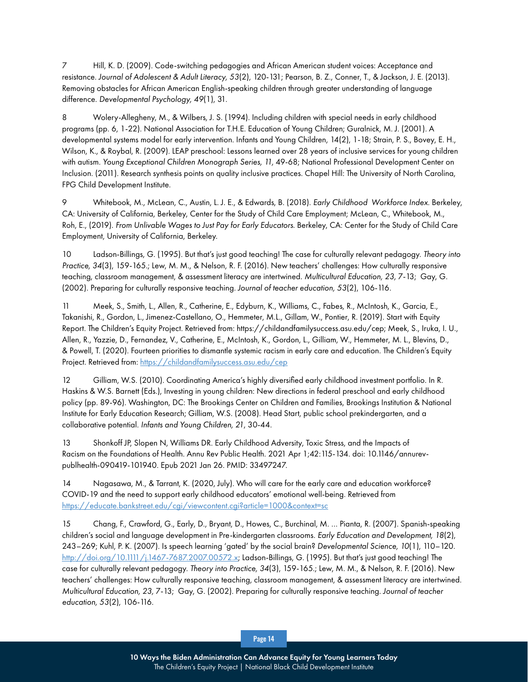7 Hill, K. D. (2009). Code‐switching pedagogies and African American student voices: Acceptance and resistance. *Journal of Adolescent & Adult Literacy, 53*(2), 120-131; Pearson, B. Z., Conner, T., & Jackson, J. E. (2013). Removing obstacles for African American English-speaking children through greater understanding of language difference. *Developmental Psychology, 49*(1), 31.

8 Wolery-Allegheny, M., & Wilbers, J. S. (1994). Including children with special needs in early childhood programs (pp. 6, 1-22). National Association for T.H.E. Education of Young Children; Guralnick, M. J. (2001). A developmental systems model for early intervention. Infants and Young Children, 14(2), 1-18; Strain, P. S., Bovey, E. H., Wilson, K., & Roybal, R. (2009). LEAP preschool: Lessons learned over 28 years of inclusive services for young children with autism. *Young Exceptional Children Monograph Series, 11,* 49-68; National Professional Development Center on Inclusion. (2011). Research synthesis points on quality inclusive practices. Chapel Hill: The University of North Carolina, FPG Child Development Institute.

9 Whitebook, M., McLean, C., Austin, L. J. E., & Edwards, B. (2018). *Early Childhood Workforce Index*. Berkeley, CA: University of California, Berkeley, Center for the Study of Child Care Employment; McLean, C., Whitebook, M., Roh, E., (2019). *From Unlivable Wages to Just Pay for Early Educators*. Berkeley, CA: Center for the Study of Child Care Employment, University of California, Berkeley.

10 Ladson‐Billings, G. (1995). But that's just good teaching! The case for culturally relevant pedagogy. *Theory into Practice, 34*(3), 159-165.; Lew, M. M., & Nelson, R. F. (2016). New teachers' challenges: How culturally responsive teaching, classroom management, & assessment literacy are intertwined. *Multicultural Education, 23,* 7-13; Gay, G. (2002). Preparing for culturally responsive teaching. *Journal of teacher education, 53*(2), 106-116.

11 Meek, S., Smith, L., Allen, R., Catherine, E., Edyburn, K., Williams, C., Fabes, R., McIntosh, K., Garcia, E., Takanishi, R., Gordon, L., Jimenez-Castellano, O., Hemmeter, M.L., Gillam, W., Pontier, R. (2019). Start with Equity Report. The Children's Equity Project. Retrieved from: https://childandfamilysuccess.asu.edu/cep; Meek, S., Iruka, I. U., Allen, R., Yazzie, D., Fernandez, V., Catherine, E., McIntosh, K., Gordon, L., Gilliam, W., Hemmeter, M. L., Blevins, D., & Powell, T. (2020). Fourteen priorities to dismantle systemic racism in early care and education. The Children's Equity Project. Retrieved from: <https://childandfamilysuccess.asu.edu/cep>

12 Gilliam, W.S. (2010). Coordinating America's highly diversified early childhood investment portfolio. In R. Haskins & W.S. Barnett (Eds.), Investing in young children: New directions in federal preschool and early childhood policy (pp. 89-96). Washington, DC: The Brookings Center on Children and Families, Brookings Institution & National Institute for Early Education Research; Gilliam, W.S. (2008). Head Start, public school prekindergarten, and a collaborative potential. *Infants and Young Children, 21*, 30-44.

13 Shonkoff JP, Slopen N, Williams DR. Early Childhood Adversity, Toxic Stress, and the Impacts of Racism on the Foundations of Health. Annu Rev Public Health. 2021 Apr 1;42:115-134. doi: 10.1146/annurevpublhealth-090419-101940. Epub 2021 Jan 26. PMID: 33497247.

14 Nagasawa, M., & Tarrant, K. (2020, July). Who will care for the early care and education workforce? COVID-19 and the need to support early childhood educators' emotional well-being. Retrieved from <https://educate.bankstreet.edu/cgi/viewcontent.cgi?article=1000&context=sc>

15 Chang, F., Crawford, G., Early, D., Bryant, D., Howes, C., Burchinal, M. … Pianta, R. (2007). Spanish-speaking children's social and language development in Pre-kindergarten classrooms. *Early Education and Development, 18*(2), 243–269; Kuhl, P. K. (2007). Is speech learning 'gated' by the social brain? *Developmental Science, 10*(1), 110–120. <http://doi.org/10.1111/j.1467-7687.2007.00572.x>; Ladson-Billings, G. (1995). But that's just good teaching! The case for culturally relevant pedagogy. *Theory into Practice, 34*(3), 159-165.; Lew, M. M., & Nelson, R. F. (2016). New teachers' challenges: How culturally responsive teaching, classroom management, & assessment literacy are intertwined. *Multicultural Education, 23,* 7-13; Gay, G. (2002). Preparing for culturally responsive teaching. *Journal of teacher education, 53*(2), 106-116.